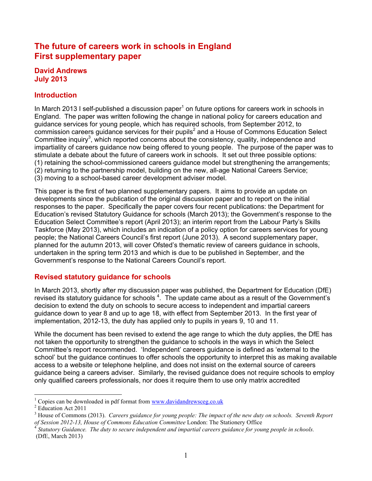# **The future of careers work in schools in England First supplementary paper**

#### **David Andrews July 2013**

# **Introduction**

In March 2013 I self-published a discussion paper<sup>1</sup> on future options for careers work in schools in England. The paper was written following the change in national policy for careers education and guidance services for young people, which has required schools, from September 2012, to  $commission$  careers guidance services for their pupils<sup>2</sup> and a House of Commons Education Select Committee inquiry<sup>3</sup>, which reported concerns about the consistency, quality, independence and impartiality of careers guidance now being offered to young people. The purpose of the paper was to stimulate a debate about the future of careers work in schools. It set out three possible options: (1) retaining the school-commissioned careers guidance model but strengthening the arrangements; (2) returning to the partnership model, building on the new, all-age National Careers Service; (3) moving to a school-based career development adviser model.

This paper is the first of two planned supplementary papers. It aims to provide an update on developments since the publication of the original discussion paper and to report on the initial responses to the paper. Specifically the paper covers four recent publications: the Department for Education's revised Statutory Guidance for schools (March 2013); the Government's response to the Education Select Committee's report (April 2013); an interim report from the Labour Party's Skills Taskforce (May 2013), which includes an indication of a policy option for careers services for young people; the National Careers Council's first report (June 2013). A second supplementary paper, planned for the autumn 2013, will cover Ofsted's thematic review of careers guidance in schools, undertaken in the spring term 2013 and which is due to be published in September, and the Government's response to the National Careers Council's report.

## **Revised statutory guidance for schools**

In March 2013, shortly after my discussion paper was published, the Department for Education (DfE) revised its statutory guidance for schools  $4$ . The update came about as a result of the Government's decision to extend the duty on schools to secure access to independent and impartial careers guidance down to year 8 and up to age 18, with effect from September 2013. In the first year of implementation, 2012-13, the duty has applied only to pupils in years 9, 10 and 11.

While the document has been revised to extend the age range to which the duty applies, the DfE has not taken the opportunity to strengthen the guidance to schools in the ways in which the Select Committee's report recommended. 'Independent' careers guidance is defined as 'external to the school' but the guidance continues to offer schools the opportunity to interpret this as making available access to a website or telephone helpline, and does not insist on the external source of careers guidance being a careers adviser. Similarly, the revised guidance does not require schools to employ only qualified careers professionals, nor does it require them to use only matrix accredited

<sup>&</sup>lt;sup>1</sup> Copies can be downloaded in pdf format from  $\frac{www.davidandrewseeg.co.uk}{Education Act 2011}$ 

<sup>3</sup> House of Commons (2013). *Careers guidance for young people: The impact of the new duty on schools. Seventh Report of Session 2012-13, House of Commons Education Committee London: The Stationery Office*<br><sup>4</sup> *Statutory Guidance. The duty to secure independent and impartial careers guidance for young people in schools.* 

<sup>(</sup>DfE, March 2013)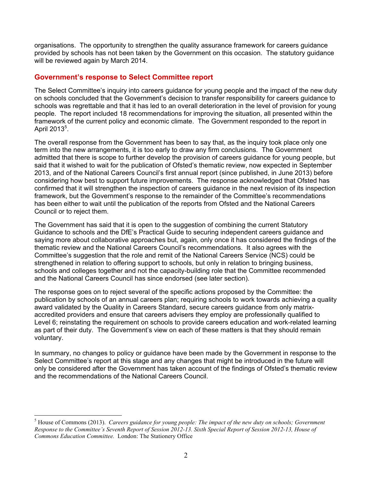organisations. The opportunity to strengthen the quality assurance framework for careers guidance provided by schools has not been taken by the Government on this occasion. The statutory guidance will be reviewed again by March 2014.

#### **Government's response to Select Committee report**

The Select Committee's inquiry into careers guidance for young people and the impact of the new duty on schools concluded that the Government's decision to transfer responsibility for careers guidance to schools was regrettable and that it has led to an overall deterioration in the level of provision for young people. The report included 18 recommendations for improving the situation, all presented within the framework of the current policy and economic climate. The Government responded to the report in April 2013 $^5$ .

The overall response from the Government has been to say that, as the inquiry took place only one term into the new arrangements, it is too early to draw any firm conclusions. The Government admitted that there is scope to further develop the provision of careers guidance for young people, but said that it wished to wait for the publication of Ofsted's thematic review, now expected in September 2013, and of the National Careers Council's first annual report (since published, in June 2013) before considering how best to support future improvements. The response acknowledged that Ofsted has confirmed that it will strengthen the inspection of careers guidance in the next revision of its inspection framework, but the Government's response to the remainder of the Committee's recommendations has been either to wait until the publication of the reports from Ofsted and the National Careers Council or to reject them.

The Government has said that it is open to the suggestion of combining the current Statutory Guidance to schools and the DfE's Practical Guide to securing independent careers guidance and saying more about collaborative approaches but, again, only once it has considered the findings of the thematic review and the National Careers Council's recommendations. It also agrees with the Committee's suggestion that the role and remit of the National Careers Service (NCS) could be strengthened in relation to offering support to schools, but only in relation to bringing business, schools and colleges together and not the capacity-building role that the Committee recommended and the National Careers Council has since endorsed (see later section).

The response goes on to reject several of the specific actions proposed by the Committee: the publication by schools of an annual careers plan; requiring schools to work towards achieving a quality award validated by the Quality in Careers Standard, secure careers guidance from only matrixaccredited providers and ensure that careers advisers they employ are professionally qualified to Level 6; reinstating the requirement on schools to provide careers education and work-related learning as part of their duty. The Government's view on each of these matters is that they should remain voluntary.

In summary, no changes to policy or guidance have been made by the Government in response to the Select Committee's report at this stage and any changes that might be introduced in the future will only be considered after the Government has taken account of the findings of Ofsted's thematic review and the recommendations of the National Careers Council.

 <sup>5</sup> House of Commons (2013). *Careers guidance for young people: The impact of the new duty on schools; Government Response to the Committee's Seventh Report of Session 2012-13. Sixth Special Report of Session 2012-13, House of Commons Education Committee.* London: The Stationery Office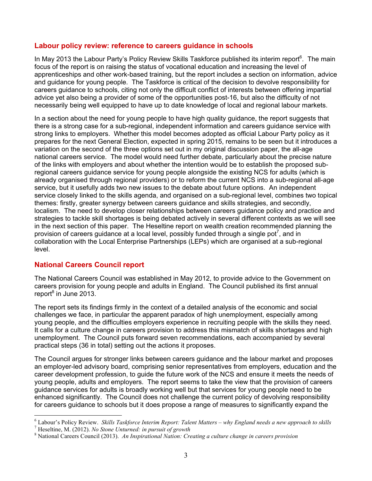#### **Labour policy review: reference to careers guidance in schools**

In May 2013 the Labour Party's Policy Review Skills Taskforce published its interim report<sup>6</sup>. The main focus of the report is on raising the status of vocational education and increasing the level of apprenticeships and other work-based training, but the report includes a section on information, advice and guidance for young people. The Taskforce is critical of the decision to devolve responsibility for careers guidance to schools, citing not only the difficult conflict of interests between offering impartial advice yet also being a provider of some of the opportunities post-16, but also the difficulty of not necessarily being well equipped to have up to date knowledge of local and regional labour markets.

In a section about the need for young people to have high quality guidance, the report suggests that there is a strong case for a sub-regional, independent information and careers guidance service with strong links to employers. Whether this model becomes adopted as official Labour Party policy as it prepares for the next General Election, expected in spring 2015, remains to be seen but it introduces a variation on the second of the three options set out in my original discussion paper, the all-age national careers service. The model would need further debate, particularly about the precise nature of the links with employers and about whether the intention would be to establish the proposed subregional careers guidance service for young people alongside the existing NCS for adults (which is already organised through regional providers) or to reform the current NCS into a sub-regional all-age service, but it usefully adds two new issues to the debate about future options. An independent service closely linked to the skills agenda, and organised on a sub-regional level, combines two topical themes: firstly, greater synergy between careers guidance and skills strategies, and secondly, localism. The need to develop closer relationships between careers guidance policy and practice and strategies to tackle skill shortages is being debated actively in several different contexts as we will see in the next section of this paper. The Heseltine report on wealth creation recommended planning the provision of careers guidance at a local level, possibly funded through a single pot<sup>7</sup>, and in collaboration with the Local Enterprise Partnerships (LEPs) which are organised at a sub-regional level.

## **National Careers Council report**

The National Careers Council was established in May 2012, to provide advice to the Government on careers provision for young people and adults in England. The Council published its first annual report<sup>8</sup> in June 2013.

The report sets its findings firmly in the context of a detailed analysis of the economic and social challenges we face, in particular the apparent paradox of high unemployment, especially among young people, and the difficulties employers experience in recruiting people with the skills they need. It calls for a culture change in careers provision to address this mismatch of skills shortages and high unemployment. The Council puts forward seven recommendations, each accompanied by several practical steps (36 in total) setting out the actions it proposes.

The Council argues for stronger links between careers guidance and the labour market and proposes an employer-led advisory board, comprising senior representatives from employers, education and the career development profession, to guide the future work of the NCS and ensure it meets the needs of young people, adults and employers. The report seems to take the view that the provision of careers guidance services for adults is broadly working well but that services for young people need to be enhanced significantly. The Council does not challenge the current policy of devolving responsibility for careers guidance to schools but it does propose a range of measures to significantly expand the

<sup>&</sup>lt;sup>6</sup> Labour's Policy Review. *Skills Taskforce Interim Report: Talent Matters – why England needs a new approach to skills*<br><sup>7</sup> Heseltine, M. (2012). *No Stone Unturned: in pursuit of growth*<br><sup>8</sup> National Careers Council (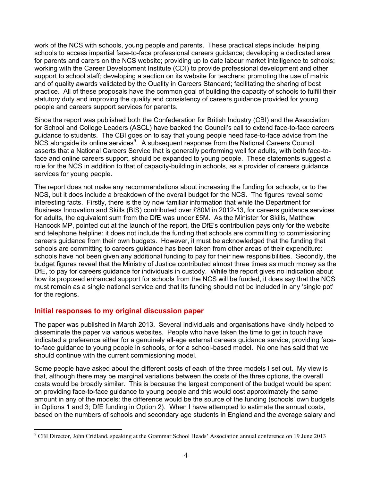work of the NCS with schools, young people and parents. These practical steps include: helping schools to access impartial face-to-face professional careers guidance; developing a dedicated area for parents and carers on the NCS website; providing up to date labour market intelligence to schools; working with the Career Development Institute (CDI) to provide professional development and other support to school staff; developing a section on its website for teachers; promoting the use of matrix and of quality awards validated by the Quality in Careers Standard; facilitating the sharing of best practice. All of these proposals have the common goal of building the capacity of schools to fulfill their statutory duty and improving the quality and consistency of careers guidance provided for young people and careers support services for parents.

Since the report was published both the Confederation for British Industry (CBI) and the Association for School and College Leaders (ASCL) have backed the Council's call to extend face-to-face careers guidance to students. The CBI goes on to say that young people need face-to-face advice from the NCS alongside its online services<sup>9</sup>. A subsequent response from the National Careers Council asserts that a National Careers Service that is generally performing well for adults, with both face-toface and online careers support, should be expanded to young people. These statements suggest a role for the NCS in addition to that of capacity-building in schools, as a provider of careers guidance services for young people.

The report does not make any recommendations about increasing the funding for schools, or to the NCS, but it does include a breakdown of the overall budget for the NCS. The figures reveal some interesting facts. Firstly, there is the by now familiar information that while the Department for Business Innovation and Skills (BIS) contributed over £80M in 2012-13, for careers guidance services for adults, the equivalent sum from the DfE was under £5M. As the Minister for Skills, Matthew Hancock MP, pointed out at the launch of the report, the DfE's contribution pays only for the website and telephone helpline: it does not include the funding that schools are committing to commissioning careers guidance from their own budgets. However, it must be acknowledged that the funding that schools are committing to careers guidance has been taken from other areas of their expenditure: schools have not been given any additional funding to pay for their new responsibilities. Secondly, the budget figures reveal that the Ministry of Justice contributed almost three times as much money as the DfE, to pay for careers guidance for individuals in custody. While the report gives no indication about how its proposed enhanced support for schools from the NCS will be funded, it does say that the NCS must remain as a single national service and that its funding should not be included in any 'single pot' for the regions.

#### **Initial responses to my original discussion paper**

The paper was published in March 2013. Several individuals and organisations have kindly helped to disseminate the paper via various websites. People who have taken the time to get in touch have indicated a preference either for a genuinely all-age external careers guidance service, providing faceto-face guidance to young people in schools, or for a school-based model. No one has said that we should continue with the current commissioning model.

Some people have asked about the different costs of each of the three models I set out. My view is that, although there may be marginal variations between the costs of the three options, the overall costs would be broadly similar. This is because the largest component of the budget would be spent on providing face-to-face guidance to young people and this would cost approximately the same amount in any of the models: the difference would be the source of the funding (schools' own budgets in Options 1 and 3; DfE funding in Option 2). When I have attempted to estimate the annual costs, based on the numbers of schools and secondary age students in England and the average salary and

<sup>-&</sup>lt;br>9 <sup>9</sup> CBI Director, John Cridland, speaking at the Grammar School Heads' Association annual conference on 19 June 2013